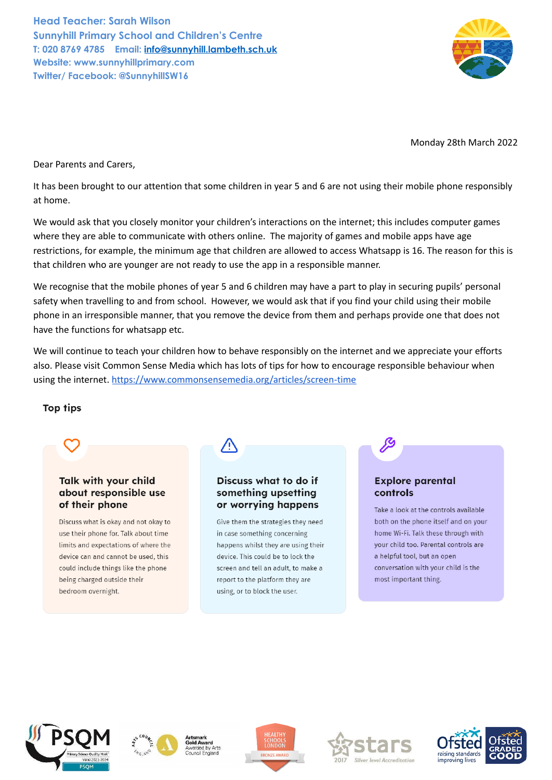**Head Teacher: Sarah Wilson Sunnyhill Primary School and Children's Centre T: 020 8769 4785 Email: [info@sunnyhill.lambeth.sch.uk](mailto:info@sunnyhill.lambeth.sch.uk) Website: www.sunnyhillprimary.com Twitter/ Facebook: @SunnyhillSW16**



Monday 28th March 2022

Dear Parents and Carers,

It has been brought to our attention that some children in year 5 and 6 are not using their mobile phone responsibly at home.

We would ask that you closely monitor your children's interactions on the internet; this includes computer games where they are able to communicate with others online. The majority of games and mobile apps have age restrictions, for example, the minimum age that children are allowed to access Whatsapp is 16. The reason for this is that children who are younger are not ready to use the app in a responsible manner.

We recognise that the mobile phones of year 5 and 6 children may have a part to play in securing pupils' personal safety when travelling to and from school. However, we would ask that if you find your child using their mobile phone in an irresponsible manner, that you remove the device from them and perhaps provide one that does not have the functions for whatsapp etc.

We will continue to teach your children how to behave responsibly on the internet and we appreciate your efforts also. Please visit Common Sense Media which has lots of tips for how to encourage responsible behaviour when using the internet. <https://www.commonsensemedia.org/articles/screen-time>

## **Top tips**



## Talk with your child about responsible use of their phone

Discuss what is okay and not okay to use their phone for. Talk about time limits and expectations of where the device can and cannot be used, this could include things like the phone being charged outside their bedroom overnight.



## Discuss what to do if somethina upsettina or worrying happens

Give them the strategies they need in case something concerning happens whilst they are using their device. This could be to lock the screen and tell an adult to make a report to the platform they are using, or to block the user.

## **Explore parental** controls

P

Take a look at the controls available both on the phone itself and on your home Wi-Fi. Talk these through with vour child too. Parental controls are a helpful tool, but an open conversation with your child is the most important thing.